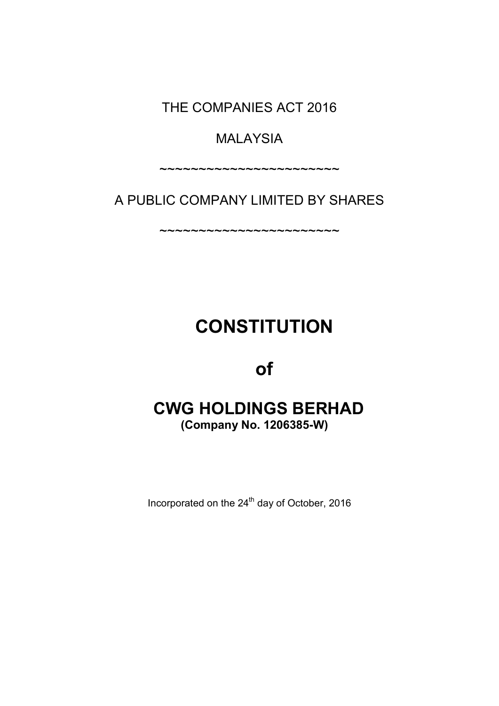THE COMPANIES ACT 2016

# MALAYSIA

~~~~~~~~~~~~~~~~~~~~~~~

A PUBLIC COMPANY LIMITED BY SHARES

~~~~~~~~~~~~~~~~~~~~~~~

# **CONSTITUTION**

# of

# CWG HOLDINGS BERHAD (Company No. 1206385-W)

Incorporated on the 24<sup>th</sup> day of October, 2016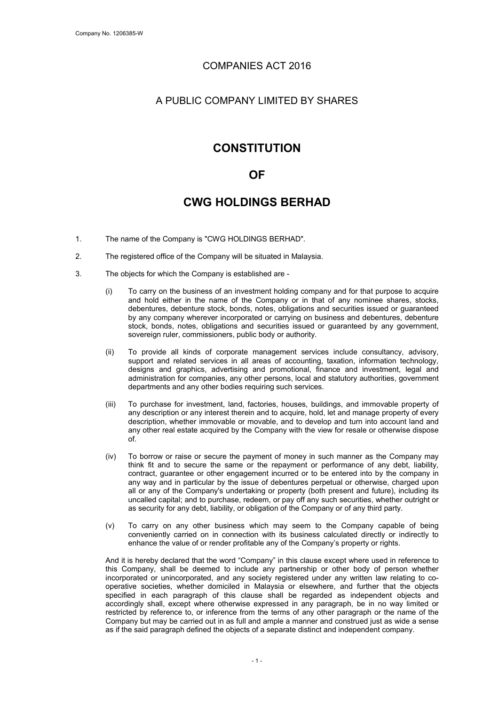### COMPANIES ACT 2016

## A PUBLIC COMPANY LIMITED BY SHARES

# **CONSTITUTION**

## OF

# CWG HOLDINGS BERHAD

- 1. The name of the Company is "CWG HOLDINGS BERHAD".
- 2. The registered office of the Company will be situated in Malaysia.
- 3. The objects for which the Company is established are
	- (i) To carry on the business of an investment holding company and for that purpose to acquire and hold either in the name of the Company or in that of any nominee shares, stocks, debentures, debenture stock, bonds, notes, obligations and securities issued or guaranteed by any company wherever incorporated or carrying on business and debentures, debenture stock, bonds, notes, obligations and securities issued or guaranteed by any government, sovereign ruler, commissioners, public body or authority.
	- (ii) To provide all kinds of corporate management services include consultancy, advisory, support and related services in all areas of accounting, taxation, information technology, designs and graphics, advertising and promotional, finance and investment, legal and administration for companies, any other persons, local and statutory authorities, government departments and any other bodies requiring such services.
	- (iii) To purchase for investment, land, factories, houses, buildings, and immovable property of any description or any interest therein and to acquire, hold, let and manage property of every description, whether immovable or movable, and to develop and turn into account land and any other real estate acquired by the Company with the view for resale or otherwise dispose of.
	- (iv) To borrow or raise or secure the payment of money in such manner as the Company may think fit and to secure the same or the repayment or performance of any debt, liability, contract, guarantee or other engagement incurred or to be entered into by the company in any way and in particular by the issue of debentures perpetual or otherwise, charged upon all or any of the Company's undertaking or property (both present and future), including its uncalled capital; and to purchase, redeem, or pay off any such securities, whether outright or as security for any debt, liability, or obligation of the Company or of any third party.
	- (v) To carry on any other business which may seem to the Company capable of being conveniently carried on in connection with its business calculated directly or indirectly to enhance the value of or render profitable any of the Company's property or rights.

And it is hereby declared that the word "Company" in this clause except where used in reference to this Company, shall be deemed to include any partnership or other body of person whether incorporated or unincorporated, and any society registered under any written law relating to cooperative societies, whether domiciled in Malaysia or elsewhere, and further that the objects specified in each paragraph of this clause shall be regarded as independent objects and accordingly shall, except where otherwise expressed in any paragraph, be in no way limited or restricted by reference to, or inference from the terms of any other paragraph or the name of the Company but may be carried out in as full and ample a manner and construed just as wide a sense as if the said paragraph defined the objects of a separate distinct and independent company.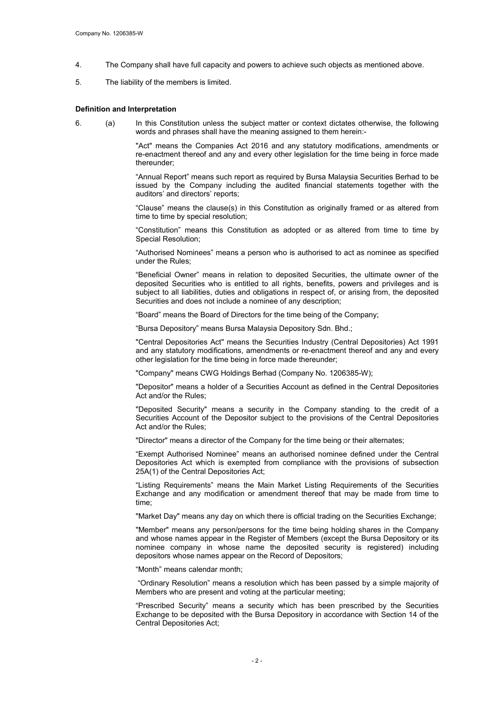- 4. The Company shall have full capacity and powers to achieve such objects as mentioned above.
- 5. The liability of the members is limited.

#### Definition and Interpretation

6. (a) In this Constitution unless the subject matter or context dictates otherwise, the following words and phrases shall have the meaning assigned to them herein:-

> "Act" means the Companies Act 2016 and any statutory modifications, amendments or re-enactment thereof and any and every other legislation for the time being in force made thereunder;

> "Annual Report" means such report as required by Bursa Malaysia Securities Berhad to be issued by the Company including the audited financial statements together with the auditors' and directors' reports;

> "Clause" means the clause(s) in this Constitution as originally framed or as altered from time to time by special resolution;

> "Constitution" means this Constitution as adopted or as altered from time to time by Special Resolution;

> "Authorised Nominees" means a person who is authorised to act as nominee as specified under the Rules;

> "Beneficial Owner" means in relation to deposited Securities, the ultimate owner of the deposited Securities who is entitled to all rights, benefits, powers and privileges and is subject to all liabilities, duties and obligations in respect of, or arising from, the deposited Securities and does not include a nominee of any description;

"Board" means the Board of Directors for the time being of the Company;

"Bursa Depository" means Bursa Malaysia Depository Sdn. Bhd.;

"Central Depositories Act" means the Securities Industry (Central Depositories) Act 1991 and any statutory modifications, amendments or re-enactment thereof and any and every other legislation for the time being in force made thereunder;

"Company" means CWG Holdings Berhad (Company No. 1206385-W);

"Depositor" means a holder of a Securities Account as defined in the Central Depositories Act and/or the Rules;

"Deposited Security" means a security in the Company standing to the credit of a Securities Account of the Depositor subject to the provisions of the Central Depositories Act and/or the Rules;

"Director" means a director of the Company for the time being or their alternates;

"Exempt Authorised Nominee" means an authorised nominee defined under the Central Depositories Act which is exempted from compliance with the provisions of subsection 25A(1) of the Central Depositories Act;

"Listing Requirements" means the Main Market Listing Requirements of the Securities Exchange and any modification or amendment thereof that may be made from time to time;

"Market Day" means any day on which there is official trading on the Securities Exchange;

"Member" means any person/persons for the time being holding shares in the Company and whose names appear in the Register of Members (except the Bursa Depository or its nominee company in whose name the deposited security is registered) including depositors whose names appear on the Record of Depositors;

"Month" means calendar month;

"Ordinary Resolution" means a resolution which has been passed by a simple majority of Members who are present and voting at the particular meeting;

"Prescribed Security" means a security which has been prescribed by the Securities Exchange to be deposited with the Bursa Depository in accordance with Section 14 of the Central Depositories Act;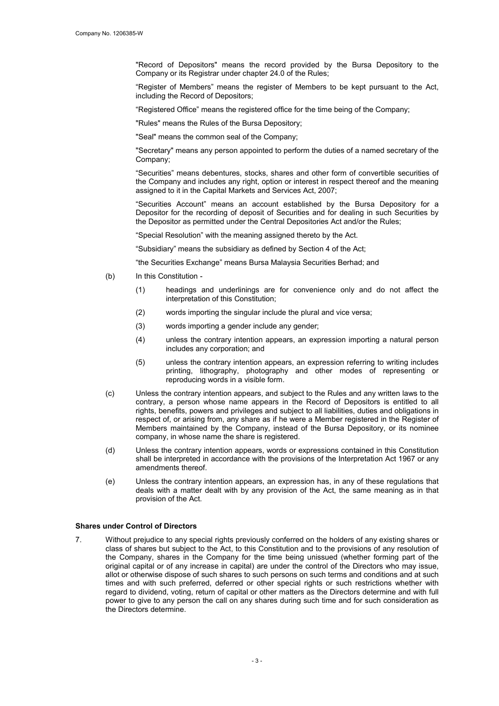"Record of Depositors" means the record provided by the Bursa Depository to the Company or its Registrar under chapter 24.0 of the Rules;

"Register of Members" means the register of Members to be kept pursuant to the Act, including the Record of Depositors;

"Registered Office" means the registered office for the time being of the Company;

"Rules" means the Rules of the Bursa Depository;

"Seal" means the common seal of the Company;

"Secretary" means any person appointed to perform the duties of a named secretary of the Company;

"Securities" means debentures, stocks, shares and other form of convertible securities of the Company and includes any right, option or interest in respect thereof and the meaning assigned to it in the Capital Markets and Services Act, 2007;

"Securities Account" means an account established by the Bursa Depository for a Depositor for the recording of deposit of Securities and for dealing in such Securities by the Depositor as permitted under the Central Depositories Act and/or the Rules;

"Special Resolution" with the meaning assigned thereto by the Act.

"Subsidiary" means the subsidiary as defined by Section 4 of the Act;

"the Securities Exchange" means Bursa Malaysia Securities Berhad; and

- (b) In this Constitution
	- (1) headings and underlinings are for convenience only and do not affect the interpretation of this Constitution;
	- (2) words importing the singular include the plural and vice versa;
	- (3) words importing a gender include any gender;
	- (4) unless the contrary intention appears, an expression importing a natural person includes any corporation; and
	- (5) unless the contrary intention appears, an expression referring to writing includes printing, lithography, photography and other modes of representing or reproducing words in a visible form.
- (c) Unless the contrary intention appears, and subject to the Rules and any written laws to the contrary, a person whose name appears in the Record of Depositors is entitled to all rights, benefits, powers and privileges and subject to all liabilities, duties and obligations in respect of, or arising from, any share as if he were a Member registered in the Register of Members maintained by the Company, instead of the Bursa Depository, or its nominee company, in whose name the share is registered.
- (d) Unless the contrary intention appears, words or expressions contained in this Constitution shall be interpreted in accordance with the provisions of the Interpretation Act 1967 or any amendments thereof.
- (e) Unless the contrary intention appears, an expression has, in any of these regulations that deals with a matter dealt with by any provision of the Act, the same meaning as in that provision of the Act.

#### Shares under Control of Directors

7. Without prejudice to any special rights previously conferred on the holders of any existing shares or class of shares but subject to the Act, to this Constitution and to the provisions of any resolution of the Company, shares in the Company for the time being unissued (whether forming part of the original capital or of any increase in capital) are under the control of the Directors who may issue, allot or otherwise dispose of such shares to such persons on such terms and conditions and at such times and with such preferred, deferred or other special rights or such restrictions whether with regard to dividend, voting, return of capital or other matters as the Directors determine and with full power to give to any person the call on any shares during such time and for such consideration as the Directors determine.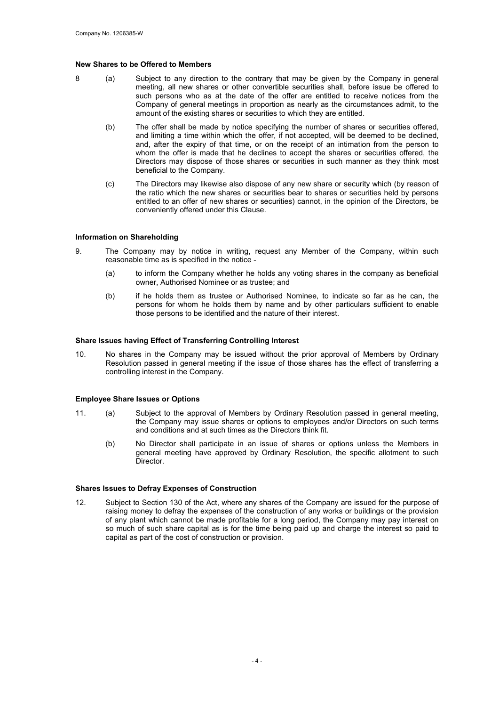#### New Shares to be Offered to Members

- 8 (a) Subject to any direction to the contrary that may be given by the Company in general meeting, all new shares or other convertible securities shall, before issue be offered to such persons who as at the date of the offer are entitled to receive notices from the Company of general meetings in proportion as nearly as the circumstances admit, to the amount of the existing shares or securities to which they are entitled.
	- (b) The offer shall be made by notice specifying the number of shares or securities offered, and limiting a time within which the offer, if not accepted, will be deemed to be declined, and, after the expiry of that time, or on the receipt of an intimation from the person to whom the offer is made that he declines to accept the shares or securities offered, the Directors may dispose of those shares or securities in such manner as they think most beneficial to the Company.
	- (c) The Directors may likewise also dispose of any new share or security which (by reason of the ratio which the new shares or securities bear to shares or securities held by persons entitled to an offer of new shares or securities) cannot, in the opinion of the Directors, be conveniently offered under this Clause.

#### Information on Shareholding

- 9. The Company may by notice in writing, request any Member of the Company, within such reasonable time as is specified in the notice -
	- (a) to inform the Company whether he holds any voting shares in the company as beneficial owner, Authorised Nominee or as trustee; and
	- (b) if he holds them as trustee or Authorised Nominee, to indicate so far as he can, the persons for whom he holds them by name and by other particulars sufficient to enable those persons to be identified and the nature of their interest.

#### Share Issues having Effect of Transferring Controlling Interest

10. No shares in the Company may be issued without the prior approval of Members by Ordinary Resolution passed in general meeting if the issue of those shares has the effect of transferring a controlling interest in the Company.

#### Employee Share Issues or Options

- 11. (a) Subject to the approval of Members by Ordinary Resolution passed in general meeting, the Company may issue shares or options to employees and/or Directors on such terms and conditions and at such times as the Directors think fit.
	- (b) No Director shall participate in an issue of shares or options unless the Members in general meeting have approved by Ordinary Resolution, the specific allotment to such Director.

#### Shares Issues to Defray Expenses of Construction

12. Subject to Section 130 of the Act, where any shares of the Company are issued for the purpose of raising money to defray the expenses of the construction of any works or buildings or the provision of any plant which cannot be made profitable for a long period, the Company may pay interest on so much of such share capital as is for the time being paid up and charge the interest so paid to capital as part of the cost of construction or provision.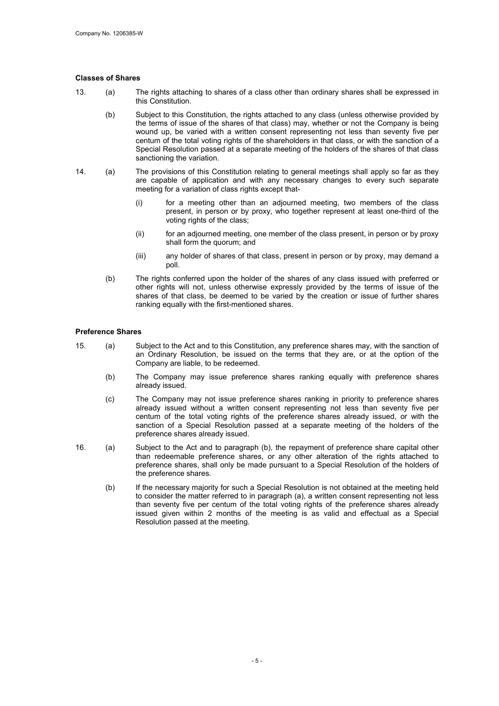#### Classes of Shares

- 13. (a) The rights attaching to shares of a class other than ordinary shares shall be expressed in this Constitution.
	- (b) Subject to this Constitution, the rights attached to any class (unless otherwise provided by the terms of issue of the shares of that class) may, whether or not the Company is being wound up, be varied with a written consent representing not less than seventy five per centum of the total voting rights of the shareholders in that class, or with the sanction of a Special Resolution passed at a separate meeting of the holders of the shares of that class sanctioning the variation.
- 14. (a) The provisions of this Constitution relating to general meetings shall apply so far as they are capable of application and with any necessary changes to every such separate meeting for a variation of class rights except that-
	- (i) for a meeting other than an adjourned meeting, two members of the class present, in person or by proxy, who together represent at least one-third of the voting rights of the class;
	- (ii) for an adjourned meeting, one member of the class present, in person or by proxy shall form the quorum; and
	- (iii) any holder of shares of that class, present in person or by proxy, may demand a poll.
	- (b) The rights conferred upon the holder of the shares of any class issued with preferred or other rights will not, unless otherwise expressly provided by the terms of issue of the shares of that class, be deemed to be varied by the creation or issue of further shares ranking equally with the first-mentioned shares.

#### Preference Shares

- 15. (a) Subject to the Act and to this Constitution, any preference shares may, with the sanction of an Ordinary Resolution, be issued on the terms that they are, or at the option of the Company are liable, to be redeemed.
	- (b) The Company may issue preference shares ranking equally with preference shares already issued.
	- (c) The Company may not issue preference shares ranking in priority to preference shares already issued without a written consent representing not less than seventy five per centum of the total voting rights of the preference shares already issued, or with the sanction of a Special Resolution passed at a separate meeting of the holders of the preference shares already issued.
- 16. (a) Subject to the Act and to paragraph (b), the repayment of preference share capital other than redeemable preference shares, or any other alteration of the rights attached to preference shares, shall only be made pursuant to a Special Resolution of the holders of the preference shares.
	- (b) If the necessary majority for such a Special Resolution is not obtained at the meeting held to consider the matter referred to in paragraph (a), a written consent representing not less than seventy five per centum of the total voting rights of the preference shares already issued given within 2 months of the meeting is as valid and effectual as a Special Resolution passed at the meeting.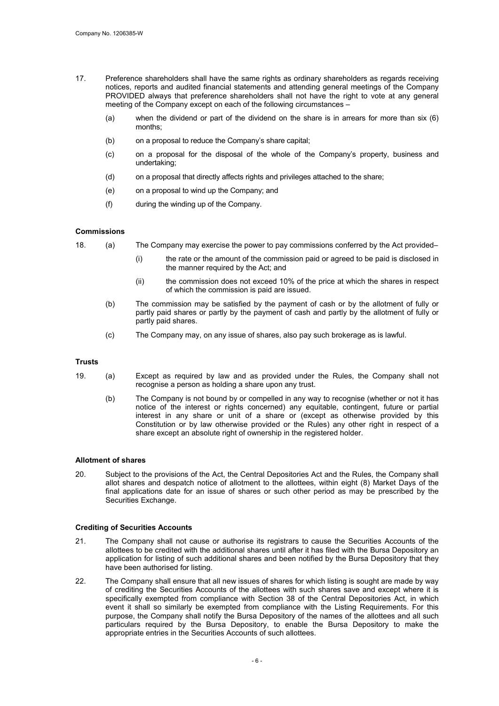- 17. Preference shareholders shall have the same rights as ordinary shareholders as regards receiving notices, reports and audited financial statements and attending general meetings of the Company PROVIDED always that preference shareholders shall not have the right to vote at any general meeting of the Company except on each of the following circumstances –
	- (a) when the dividend or part of the dividend on the share is in arrears for more than six (6) months;
	- (b) on a proposal to reduce the Company's share capital;
	- (c) on a proposal for the disposal of the whole of the Company's property, business and undertaking;
	- (d) on a proposal that directly affects rights and privileges attached to the share;
	- (e) on a proposal to wind up the Company; and
	- (f) during the winding up of the Company.

#### **Commissions**

- 18. (a) The Company may exercise the power to pay commissions conferred by the Act provided–
	- (i) the rate or the amount of the commission paid or agreed to be paid is disclosed in the manner required by the Act; and
	- (ii) the commission does not exceed 10% of the price at which the shares in respect of which the commission is paid are issued.
	- (b) The commission may be satisfied by the payment of cash or by the allotment of fully or partly paid shares or partly by the payment of cash and partly by the allotment of fully or partly paid shares.
	- (c) The Company may, on any issue of shares, also pay such brokerage as is lawful.

#### **Trusts**

- 19. (a) Except as required by law and as provided under the Rules, the Company shall not recognise a person as holding a share upon any trust.
	- (b) The Company is not bound by or compelled in any way to recognise (whether or not it has notice of the interest or rights concerned) any equitable, contingent, future or partial interest in any share or unit of a share or (except as otherwise provided by this Constitution or by law otherwise provided or the Rules) any other right in respect of a share except an absolute right of ownership in the registered holder.

#### Allotment of shares

20. Subject to the provisions of the Act, the Central Depositories Act and the Rules, the Company shall allot shares and despatch notice of allotment to the allottees, within eight (8) Market Days of the final applications date for an issue of shares or such other period as may be prescribed by the Securities Exchange.

#### Crediting of Securities Accounts

- 21. The Company shall not cause or authorise its registrars to cause the Securities Accounts of the allottees to be credited with the additional shares until after it has filed with the Bursa Depository an application for listing of such additional shares and been notified by the Bursa Depository that they have been authorised for listing.
- 22. The Company shall ensure that all new issues of shares for which listing is sought are made by way of crediting the Securities Accounts of the allottees with such shares save and except where it is specifically exempted from compliance with Section 38 of the Central Depositories Act, in which event it shall so similarly be exempted from compliance with the Listing Requirements. For this purpose, the Company shall notify the Bursa Depository of the names of the allottees and all such particulars required by the Bursa Depository, to enable the Bursa Depository to make the appropriate entries in the Securities Accounts of such allottees.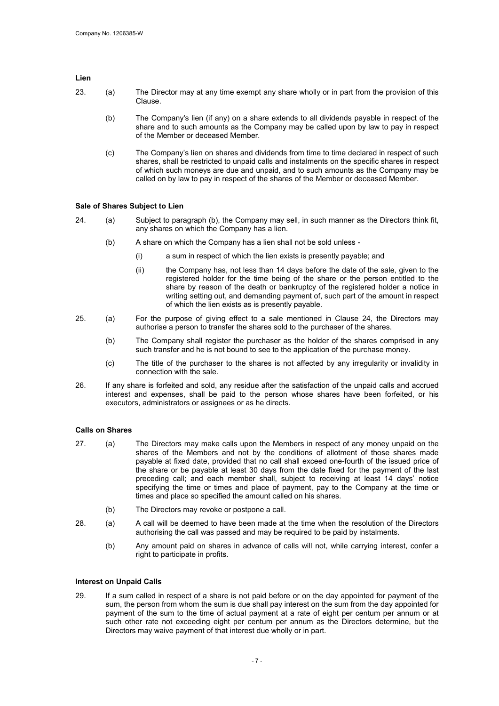#### Lien

- 23. (a) The Director may at any time exempt any share wholly or in part from the provision of this Clause.
	- (b) The Company's lien (if any) on a share extends to all dividends payable in respect of the share and to such amounts as the Company may be called upon by law to pay in respect of the Member or deceased Member.
	- (c) The Company's lien on shares and dividends from time to time declared in respect of such shares, shall be restricted to unpaid calls and instalments on the specific shares in respect of which such moneys are due and unpaid, and to such amounts as the Company may be called on by law to pay in respect of the shares of the Member or deceased Member.

#### Sale of Shares Subject to Lien

- 24. (a) Subject to paragraph (b), the Company may sell, in such manner as the Directors think fit, any shares on which the Company has a lien.
	- (b) A share on which the Company has a lien shall not be sold unless
		- (i) a sum in respect of which the lien exists is presently payable; and
		- (ii) the Company has, not less than 14 days before the date of the sale, given to the registered holder for the time being of the share or the person entitled to the share by reason of the death or bankruptcy of the registered holder a notice in writing setting out, and demanding payment of, such part of the amount in respect of which the lien exists as is presently payable.
- 25. (a) For the purpose of giving effect to a sale mentioned in Clause 24, the Directors may authorise a person to transfer the shares sold to the purchaser of the shares.
	- (b) The Company shall register the purchaser as the holder of the shares comprised in any such transfer and he is not bound to see to the application of the purchase money.
	- (c) The title of the purchaser to the shares is not affected by any irregularity or invalidity in connection with the sale.
- 26. If any share is forfeited and sold, any residue after the satisfaction of the unpaid calls and accrued interest and expenses, shall be paid to the person whose shares have been forfeited, or his executors, administrators or assignees or as he directs.

#### Calls on Shares

- 27. (a) The Directors may make calls upon the Members in respect of any money unpaid on the shares of the Members and not by the conditions of allotment of those shares made payable at fixed date, provided that no call shall exceed one-fourth of the issued price of the share or be payable at least 30 days from the date fixed for the payment of the last preceding call; and each member shall, subject to receiving at least 14 days' notice specifying the time or times and place of payment, pay to the Company at the time or times and place so specified the amount called on his shares.
	- (b) The Directors may revoke or postpone a call.
- 28. (a) A call will be deemed to have been made at the time when the resolution of the Directors authorising the call was passed and may be required to be paid by instalments.
	- (b) Any amount paid on shares in advance of calls will not, while carrying interest, confer a right to participate in profits.

#### Interest on Unpaid Calls

29. If a sum called in respect of a share is not paid before or on the day appointed for payment of the sum, the person from whom the sum is due shall pay interest on the sum from the day appointed for payment of the sum to the time of actual payment at a rate of eight per centum per annum or at such other rate not exceeding eight per centum per annum as the Directors determine, but the Directors may waive payment of that interest due wholly or in part.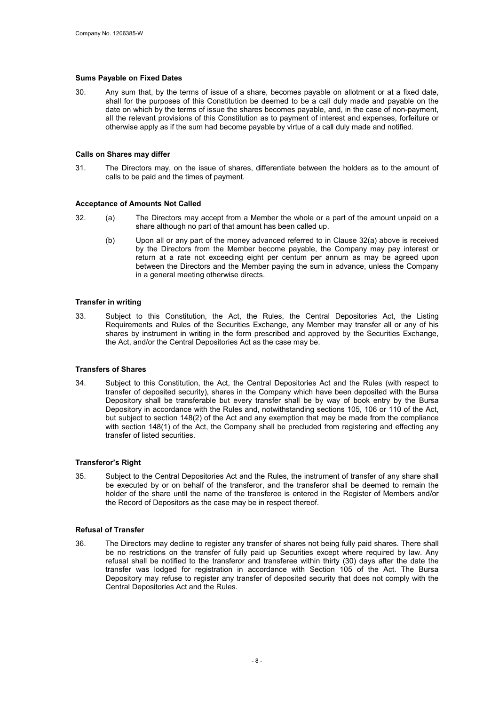#### Sums Payable on Fixed Dates

30. Any sum that, by the terms of issue of a share, becomes payable on allotment or at a fixed date, shall for the purposes of this Constitution be deemed to be a call duly made and payable on the date on which by the terms of issue the shares becomes payable, and, in the case of non-payment, all the relevant provisions of this Constitution as to payment of interest and expenses, forfeiture or otherwise apply as if the sum had become payable by virtue of a call duly made and notified.

#### Calls on Shares may differ

31. The Directors may, on the issue of shares, differentiate between the holders as to the amount of calls to be paid and the times of payment.

#### Acceptance of Amounts Not Called

- 32. (a) The Directors may accept from a Member the whole or a part of the amount unpaid on a share although no part of that amount has been called up.
	- (b) Upon all or any part of the money advanced referred to in Clause 32(a) above is received by the Directors from the Member become payable, the Company may pay interest or return at a rate not exceeding eight per centum per annum as may be agreed upon between the Directors and the Member paying the sum in advance, unless the Company in a general meeting otherwise directs.

#### Transfer in writing

33. Subject to this Constitution, the Act, the Rules, the Central Depositories Act, the Listing Requirements and Rules of the Securities Exchange, any Member may transfer all or any of his shares by instrument in writing in the form prescribed and approved by the Securities Exchange, the Act, and/or the Central Depositories Act as the case may be.

#### Transfers of Shares

34. Subject to this Constitution, the Act, the Central Depositories Act and the Rules (with respect to transfer of deposited security), shares in the Company which have been deposited with the Bursa Depository shall be transferable but every transfer shall be by way of book entry by the Bursa Depository in accordance with the Rules and, notwithstanding sections 105, 106 or 110 of the Act, but subject to section 148(2) of the Act and any exemption that may be made from the compliance with section 148(1) of the Act, the Company shall be precluded from registering and effecting any transfer of listed securities.

#### Transferor's Right

35. Subject to the Central Depositories Act and the Rules, the instrument of transfer of any share shall be executed by or on behalf of the transferor, and the transferor shall be deemed to remain the holder of the share until the name of the transferee is entered in the Register of Members and/or the Record of Depositors as the case may be in respect thereof.

#### Refusal of Transfer

36. The Directors may decline to register any transfer of shares not being fully paid shares. There shall be no restrictions on the transfer of fully paid up Securities except where required by law. Any refusal shall be notified to the transferor and transferee within thirty (30) days after the date the transfer was lodged for registration in accordance with Section 105 of the Act. The Bursa Depository may refuse to register any transfer of deposited security that does not comply with the Central Depositories Act and the Rules.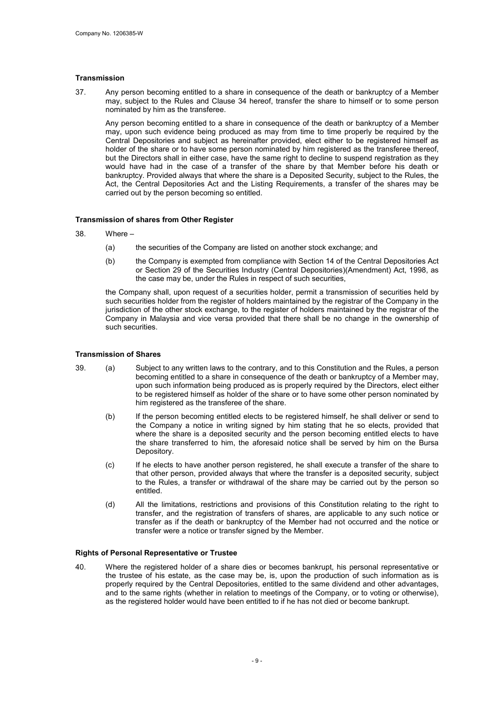#### **Transmission**

37. Any person becoming entitled to a share in consequence of the death or bankruptcy of a Member may, subject to the Rules and Clause 34 hereof, transfer the share to himself or to some person nominated by him as the transferee.

Any person becoming entitled to a share in consequence of the death or bankruptcy of a Member may, upon such evidence being produced as may from time to time properly be required by the Central Depositories and subject as hereinafter provided, elect either to be registered himself as holder of the share or to have some person nominated by him registered as the transferee thereof, but the Directors shall in either case, have the same right to decline to suspend registration as they would have had in the case of a transfer of the share by that Member before his death or bankruptcy. Provided always that where the share is a Deposited Security, subject to the Rules, the Act, the Central Depositories Act and the Listing Requirements, a transfer of the shares may be carried out by the person becoming so entitled.

#### Transmission of shares from Other Register

- 38. Where
	- (a) the securities of the Company are listed on another stock exchange; and
	- (b) the Company is exempted from compliance with Section 14 of the Central Depositories Act or Section 29 of the Securities Industry (Central Depositories)(Amendment) Act, 1998, as the case may be, under the Rules in respect of such securities,

the Company shall, upon request of a securities holder, permit a transmission of securities held by such securities holder from the register of holders maintained by the registrar of the Company in the jurisdiction of the other stock exchange, to the register of holders maintained by the registrar of the Company in Malaysia and vice versa provided that there shall be no change in the ownership of such securities.

#### Transmission of Shares

- 39. (a) Subject to any written laws to the contrary, and to this Constitution and the Rules, a person becoming entitled to a share in consequence of the death or bankruptcy of a Member may, upon such information being produced as is properly required by the Directors, elect either to be registered himself as holder of the share or to have some other person nominated by him registered as the transferee of the share.
	- (b) If the person becoming entitled elects to be registered himself, he shall deliver or send to the Company a notice in writing signed by him stating that he so elects, provided that where the share is a deposited security and the person becoming entitled elects to have the share transferred to him, the aforesaid notice shall be served by him on the Bursa Depository.
	- (c) If he elects to have another person registered, he shall execute a transfer of the share to that other person, provided always that where the transfer is a deposited security, subject to the Rules, a transfer or withdrawal of the share may be carried out by the person so entitled.
	- (d) All the limitations, restrictions and provisions of this Constitution relating to the right to transfer, and the registration of transfers of shares, are applicable to any such notice or transfer as if the death or bankruptcy of the Member had not occurred and the notice or transfer were a notice or transfer signed by the Member.

#### Rights of Personal Representative or Trustee

40. Where the registered holder of a share dies or becomes bankrupt, his personal representative or the trustee of his estate, as the case may be, is, upon the production of such information as is properly required by the Central Depositories, entitled to the same dividend and other advantages, and to the same rights (whether in relation to meetings of the Company, or to voting or otherwise), as the registered holder would have been entitled to if he has not died or become bankrupt.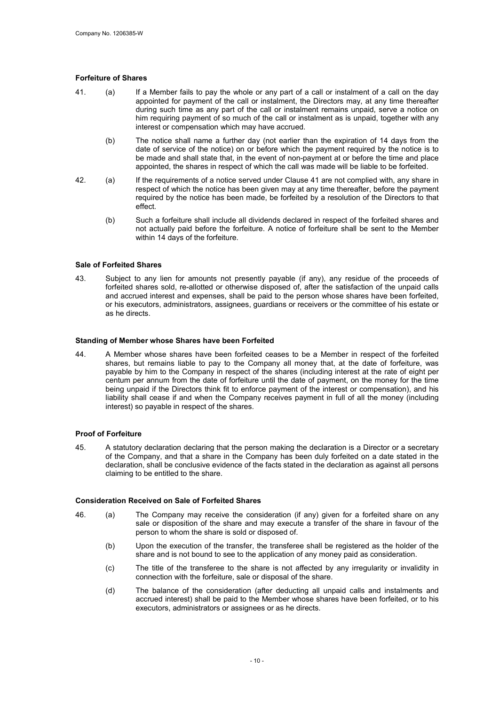#### Forfeiture of Shares

- 41. (a) If a Member fails to pay the whole or any part of a call or instalment of a call on the day appointed for payment of the call or instalment, the Directors may, at any time thereafter during such time as any part of the call or instalment remains unpaid, serve a notice on him requiring payment of so much of the call or instalment as is unpaid, together with any interest or compensation which may have accrued.
	- (b) The notice shall name a further day (not earlier than the expiration of 14 days from the date of service of the notice) on or before which the payment required by the notice is to be made and shall state that, in the event of non-payment at or before the time and place appointed, the shares in respect of which the call was made will be liable to be forfeited.
- 42. (a) If the requirements of a notice served under Clause 41 are not complied with, any share in respect of which the notice has been given may at any time thereafter, before the payment required by the notice has been made, be forfeited by a resolution of the Directors to that effect.
	- (b) Such a forfeiture shall include all dividends declared in respect of the forfeited shares and not actually paid before the forfeiture. A notice of forfeiture shall be sent to the Member within 14 days of the forfeiture.

#### Sale of Forfeited Shares

43. Subject to any lien for amounts not presently payable (if any), any residue of the proceeds of forfeited shares sold, re-allotted or otherwise disposed of, after the satisfaction of the unpaid calls and accrued interest and expenses, shall be paid to the person whose shares have been forfeited, or his executors, administrators, assignees, guardians or receivers or the committee of his estate or as he directs.

#### Standing of Member whose Shares have been Forfeited

44. A Member whose shares have been forfeited ceases to be a Member in respect of the forfeited shares, but remains liable to pay to the Company all money that, at the date of forfeiture, was payable by him to the Company in respect of the shares (including interest at the rate of eight per centum per annum from the date of forfeiture until the date of payment, on the money for the time being unpaid if the Directors think fit to enforce payment of the interest or compensation), and his liability shall cease if and when the Company receives payment in full of all the money (including interest) so payable in respect of the shares.

#### Proof of Forfeiture

45. A statutory declaration declaring that the person making the declaration is a Director or a secretary of the Company, and that a share in the Company has been duly forfeited on a date stated in the declaration, shall be conclusive evidence of the facts stated in the declaration as against all persons claiming to be entitled to the share.

#### Consideration Received on Sale of Forfeited Shares

- 46. (a) The Company may receive the consideration (if any) given for a forfeited share on any sale or disposition of the share and may execute a transfer of the share in favour of the person to whom the share is sold or disposed of.
	- (b) Upon the execution of the transfer, the transferee shall be registered as the holder of the share and is not bound to see to the application of any money paid as consideration.
	- (c) The title of the transferee to the share is not affected by any irregularity or invalidity in connection with the forfeiture, sale or disposal of the share.
	- (d) The balance of the consideration (after deducting all unpaid calls and instalments and accrued interest) shall be paid to the Member whose shares have been forfeited, or to his executors, administrators or assignees or as he directs.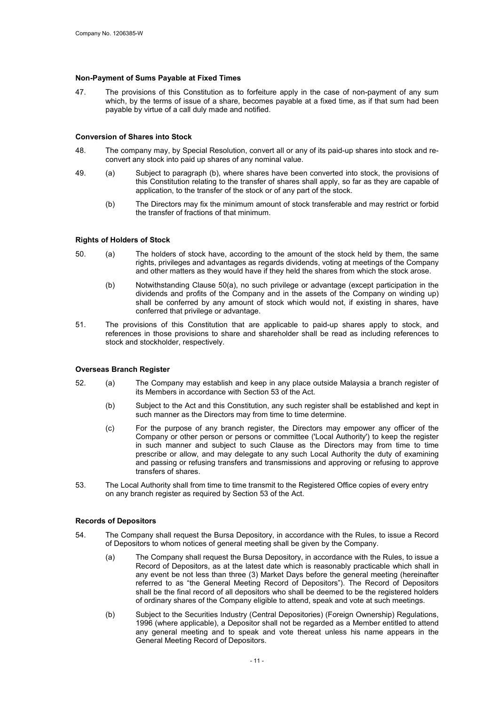#### Non-Payment of Sums Payable at Fixed Times

47. The provisions of this Constitution as to forfeiture apply in the case of non-payment of any sum which, by the terms of issue of a share, becomes payable at a fixed time, as if that sum had been payable by virtue of a call duly made and notified.

#### Conversion of Shares into Stock

- 48. The company may, by Special Resolution, convert all or any of its paid-up shares into stock and reconvert any stock into paid up shares of any nominal value.
- 49. (a) Subject to paragraph (b), where shares have been converted into stock, the provisions of this Constitution relating to the transfer of shares shall apply, so far as they are capable of application, to the transfer of the stock or of any part of the stock.
	- (b) The Directors may fix the minimum amount of stock transferable and may restrict or forbid the transfer of fractions of that minimum.

#### Rights of Holders of Stock

- 50. (a) The holders of stock have, according to the amount of the stock held by them, the same rights, privileges and advantages as regards dividends, voting at meetings of the Company and other matters as they would have if they held the shares from which the stock arose.
	- (b) Notwithstanding Clause 50(a), no such privilege or advantage (except participation in the dividends and profits of the Company and in the assets of the Company on winding up) shall be conferred by any amount of stock which would not, if existing in shares, have conferred that privilege or advantage.
- 51. The provisions of this Constitution that are applicable to paid-up shares apply to stock, and references in those provisions to share and shareholder shall be read as including references to stock and stockholder, respectively.

#### Overseas Branch Register

- 52. (a) The Company may establish and keep in any place outside Malaysia a branch register of its Members in accordance with Section 53 of the Act.
	- (b) Subject to the Act and this Constitution, any such register shall be established and kept in such manner as the Directors may from time to time determine.
	- (c) For the purpose of any branch register, the Directors may empower any officer of the Company or other person or persons or committee ('Local Authority') to keep the register in such manner and subject to such Clause as the Directors may from time to time prescribe or allow, and may delegate to any such Local Authority the duty of examining and passing or refusing transfers and transmissions and approving or refusing to approve transfers of shares.
- 53. The Local Authority shall from time to time transmit to the Registered Office copies of every entry on any branch register as required by Section 53 of the Act.

#### Records of Depositors

- 54. The Company shall request the Bursa Depository, in accordance with the Rules, to issue a Record of Depositors to whom notices of general meeting shall be given by the Company.
	- (a) The Company shall request the Bursa Depository, in accordance with the Rules, to issue a Record of Depositors, as at the latest date which is reasonably practicable which shall in any event be not less than three (3) Market Days before the general meeting (hereinafter referred to as "the General Meeting Record of Depositors"). The Record of Depositors shall be the final record of all depositors who shall be deemed to be the registered holders of ordinary shares of the Company eligible to attend, speak and vote at such meetings.
	- (b) Subject to the Securities Industry (Central Depositories) (Foreign Ownership) Regulations, 1996 (where applicable), a Depositor shall not be regarded as a Member entitled to attend any general meeting and to speak and vote thereat unless his name appears in the General Meeting Record of Depositors.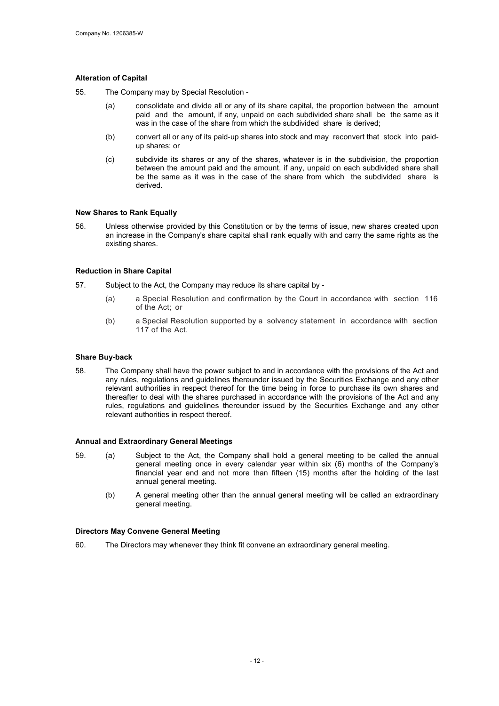#### Alteration of Capital

- 55. The Company may by Special Resolution
	- (a) consolidate and divide all or any of its share capital, the proportion between the amount paid and the amount, if any, unpaid on each subdivided share shall be the same as it was in the case of the share from which the subdivided share is derived;
	- (b) convert all or any of its paid-up shares into stock and may reconvert that stock into paidup shares; or
	- (c) subdivide its shares or any of the shares, whatever is in the subdivision, the proportion between the amount paid and the amount, if any, unpaid on each subdivided share shall be the same as it was in the case of the share from which the subdivided share is derived.

#### New Shares to Rank Equally

56. Unless otherwise provided by this Constitution or by the terms of issue, new shares created upon an increase in the Company's share capital shall rank equally with and carry the same rights as the existing shares.

#### Reduction in Share Capital

- 57. Subject to the Act, the Company may reduce its share capital by
	- (a) a Special Resolution and confirmation by the Court in accordance with section 116 of the Act; or
	- (b) a Special Resolution supported by a solvency statement in accordance with section 117 of the Act.

#### Share Buy-back

58. The Company shall have the power subject to and in accordance with the provisions of the Act and any rules, regulations and guidelines thereunder issued by the Securities Exchange and any other relevant authorities in respect thereof for the time being in force to purchase its own shares and thereafter to deal with the shares purchased in accordance with the provisions of the Act and any rules, regulations and guidelines thereunder issued by the Securities Exchange and any other relevant authorities in respect thereof.

#### Annual and Extraordinary General Meetings

- 59. (a) Subject to the Act, the Company shall hold a general meeting to be called the annual general meeting once in every calendar year within six (6) months of the Company's financial year end and not more than fifteen (15) months after the holding of the last annual general meeting.
	- (b) A general meeting other than the annual general meeting will be called an extraordinary general meeting.

#### Directors May Convene General Meeting

60. The Directors may whenever they think fit convene an extraordinary general meeting.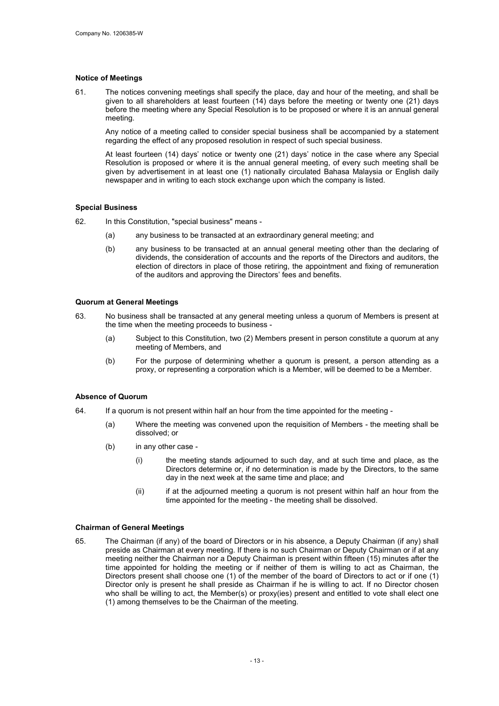#### Notice of Meetings

61. The notices convening meetings shall specify the place, day and hour of the meeting, and shall be given to all shareholders at least fourteen (14) days before the meeting or twenty one (21) days before the meeting where any Special Resolution is to be proposed or where it is an annual general meeting.

Any notice of a meeting called to consider special business shall be accompanied by a statement regarding the effect of any proposed resolution in respect of such special business.

At least fourteen (14) days' notice or twenty one (21) days' notice in the case where any Special Resolution is proposed or where it is the annual general meeting, of every such meeting shall be given by advertisement in at least one (1) nationally circulated Bahasa Malaysia or English daily newspaper and in writing to each stock exchange upon which the company is listed.

#### Special Business

62. In this Constitution, "special business" means -

- (a) any business to be transacted at an extraordinary general meeting; and
- (b) any business to be transacted at an annual general meeting other than the declaring of dividends, the consideration of accounts and the reports of the Directors and auditors, the election of directors in place of those retiring, the appointment and fixing of remuneration of the auditors and approving the Directors' fees and benefits.

#### Quorum at General Meetings

- 63. No business shall be transacted at any general meeting unless a quorum of Members is present at the time when the meeting proceeds to business -
	- (a) Subject to this Constitution, two (2) Members present in person constitute a quorum at any meeting of Members, and
	- (b) For the purpose of determining whether a quorum is present, a person attending as a proxy, or representing a corporation which is a Member, will be deemed to be a Member.

#### Absence of Quorum

- 64. If a quorum is not present within half an hour from the time appointed for the meeting
	- (a) Where the meeting was convened upon the requisition of Members the meeting shall be dissolved; or
	- (b) in any other case
		- (i) the meeting stands adjourned to such day, and at such time and place, as the Directors determine or, if no determination is made by the Directors, to the same day in the next week at the same time and place; and
		- (ii) if at the adjourned meeting a quorum is not present within half an hour from the time appointed for the meeting - the meeting shall be dissolved.

#### Chairman of General Meetings

65. The Chairman (if any) of the board of Directors or in his absence, a Deputy Chairman (if any) shall preside as Chairman at every meeting. If there is no such Chairman or Deputy Chairman or if at any meeting neither the Chairman nor a Deputy Chairman is present within fifteen (15) minutes after the time appointed for holding the meeting or if neither of them is willing to act as Chairman, the Directors present shall choose one (1) of the member of the board of Directors to act or if one (1) Director only is present he shall preside as Chairman if he is willing to act. If no Director chosen who shall be willing to act, the Member(s) or proxy(ies) present and entitled to vote shall elect one (1) among themselves to be the Chairman of the meeting.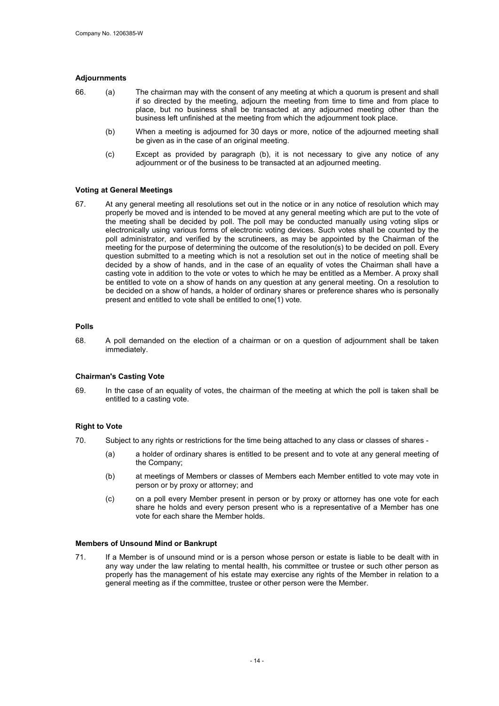#### Adjournments

- 66. (a) The chairman may with the consent of any meeting at which a quorum is present and shall if so directed by the meeting, adjourn the meeting from time to time and from place to place, but no business shall be transacted at any adjourned meeting other than the business left unfinished at the meeting from which the adjournment took place.
	- (b) When a meeting is adjourned for 30 days or more, notice of the adjourned meeting shall be given as in the case of an original meeting.
	- (c) Except as provided by paragraph (b), it is not necessary to give any notice of any adjournment or of the business to be transacted at an adjourned meeting.

#### Voting at General Meetings

67. At any general meeting all resolutions set out in the notice or in any notice of resolution which may properly be moved and is intended to be moved at any general meeting which are put to the vote of the meeting shall be decided by poll. The poll may be conducted manually using voting slips or electronically using various forms of electronic voting devices. Such votes shall be counted by the poll administrator, and verified by the scrutineers, as may be appointed by the Chairman of the meeting for the purpose of determining the outcome of the resolution(s) to be decided on poll. Every question submitted to a meeting which is not a resolution set out in the notice of meeting shall be decided by a show of hands, and in the case of an equality of votes the Chairman shall have a casting vote in addition to the vote or votes to which he may be entitled as a Member. A proxy shall be entitled to vote on a show of hands on any question at any general meeting. On a resolution to be decided on a show of hands, a holder of ordinary shares or preference shares who is personally present and entitled to vote shall be entitled to one(1) vote.

#### Polls

68. A poll demanded on the election of a chairman or on a question of adjournment shall be taken immediately.

#### Chairman's Casting Vote

69. In the case of an equality of votes, the chairman of the meeting at which the poll is taken shall be entitled to a casting vote.

#### Right to Vote

- 70. Subject to any rights or restrictions for the time being attached to any class or classes of shares
	- (a) a holder of ordinary shares is entitled to be present and to vote at any general meeting of the Company;
	- (b) at meetings of Members or classes of Members each Member entitled to vote may vote in person or by proxy or attorney; and
	- (c) on a poll every Member present in person or by proxy or attorney has one vote for each share he holds and every person present who is a representative of a Member has one vote for each share the Member holds.

#### Members of Unsound Mind or Bankrupt

71. If a Member is of unsound mind or is a person whose person or estate is liable to be dealt with in any way under the law relating to mental health, his committee or trustee or such other person as properly has the management of his estate may exercise any rights of the Member in relation to a general meeting as if the committee, trustee or other person were the Member.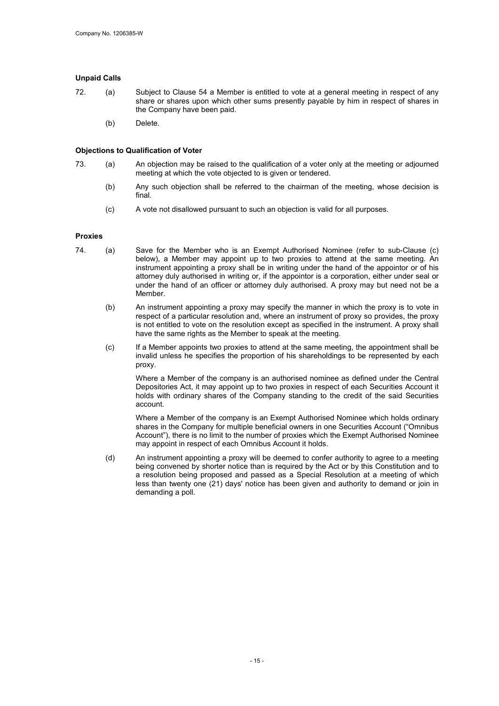#### Unpaid Calls

- 72. (a) Subject to Clause 54 a Member is entitled to vote at a general meeting in respect of any share or shares upon which other sums presently payable by him in respect of shares in the Company have been paid.
	- (b) Delete.

#### Objections to Qualification of Voter

- 73. (a) An objection may be raised to the qualification of a voter only at the meeting or adjourned meeting at which the vote objected to is given or tendered.
	- (b) Any such objection shall be referred to the chairman of the meeting, whose decision is final.
	- (c) A vote not disallowed pursuant to such an objection is valid for all purposes.

#### Proxies

- 74. (a) Save for the Member who is an Exempt Authorised Nominee (refer to sub-Clause (c) below), a Member may appoint up to two proxies to attend at the same meeting. An instrument appointing a proxy shall be in writing under the hand of the appointor or of his attorney duly authorised in writing or, if the appointor is a corporation, either under seal or under the hand of an officer or attorney duly authorised. A proxy may but need not be a Member.
	- (b) An instrument appointing a proxy may specify the manner in which the proxy is to vote in respect of a particular resolution and, where an instrument of proxy so provides, the proxy is not entitled to vote on the resolution except as specified in the instrument. A proxy shall have the same rights as the Member to speak at the meeting.
	- (c) If a Member appoints two proxies to attend at the same meeting, the appointment shall be invalid unless he specifies the proportion of his shareholdings to be represented by each proxy.

Where a Member of the company is an authorised nominee as defined under the Central Depositories Act, it may appoint up to two proxies in respect of each Securities Account it holds with ordinary shares of the Company standing to the credit of the said Securities account.

Where a Member of the company is an Exempt Authorised Nominee which holds ordinary shares in the Company for multiple beneficial owners in one Securities Account ("Omnibus Account"), there is no limit to the number of proxies which the Exempt Authorised Nominee may appoint in respect of each Omnibus Account it holds.

(d) An instrument appointing a proxy will be deemed to confer authority to agree to a meeting being convened by shorter notice than is required by the Act or by this Constitution and to a resolution being proposed and passed as a Special Resolution at a meeting of which less than twenty one (21) days' notice has been given and authority to demand or join in demanding a poll.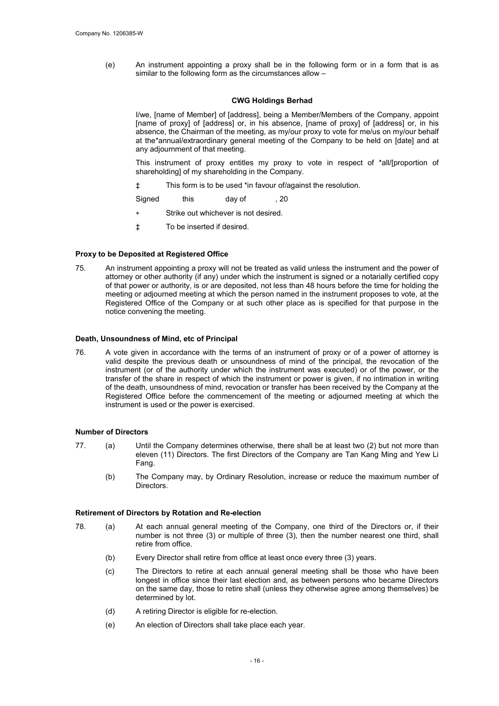(e) An instrument appointing a proxy shall be in the following form or in a form that is as similar to the following form as the circumstances allow –

#### CWG Holdings Berhad

I/we, [name of Member] of [address], being a Member/Members of the Company, appoint [name of proxy] of [address] or, in his absence, [name of proxy] of [address] or, in his absence, the Chairman of the meeting, as my/our proxy to vote for me/us on my/our behalf at the\*annual/extraordinary general meeting of the Company to be held on [date] and at any adjournment of that meeting.

This instrument of proxy entitles my proxy to vote in respect of \*all/[proportion of shareholding] of my shareholding in the Company.

‡ This form is to be used \*in favour of/against the resolution.

Signed this day of , 20

- Strike out whichever is not desired.
- ‡ To be inserted if desired.

#### Proxy to be Deposited at Registered Office

75. An instrument appointing a proxy will not be treated as valid unless the instrument and the power of attorney or other authority (if any) under which the instrument is signed or a notarially certified copy of that power or authority, is or are deposited, not less than 48 hours before the time for holding the meeting or adjourned meeting at which the person named in the instrument proposes to vote, at the Registered Office of the Company or at such other place as is specified for that purpose in the notice convening the meeting.

#### Death, Unsoundness of Mind, etc of Principal

76. A vote given in accordance with the terms of an instrument of proxy or of a power of attorney is valid despite the previous death or unsoundness of mind of the principal, the revocation of the instrument (or of the authority under which the instrument was executed) or of the power, or the transfer of the share in respect of which the instrument or power is given, if no intimation in writing of the death, unsoundness of mind, revocation or transfer has been received by the Company at the Registered Office before the commencement of the meeting or adjourned meeting at which the instrument is used or the power is exercised.

#### Number of Directors

- 77. (a) Until the Company determines otherwise, there shall be at least two (2) but not more than eleven (11) Directors. The first Directors of the Company are Tan Kang Ming and Yew Li Fang.
	- (b) The Company may, by Ordinary Resolution, increase or reduce the maximum number of Directors.

#### Retirement of Directors by Rotation and Re-election

- 78. (a) At each annual general meeting of the Company, one third of the Directors or, if their number is not three (3) or multiple of three (3), then the number nearest one third, shall retire from office.
	- (b) Every Director shall retire from office at least once every three (3) years.
	- (c) The Directors to retire at each annual general meeting shall be those who have been longest in office since their last election and, as between persons who became Directors on the same day, those to retire shall (unless they otherwise agree among themselves) be determined by lot.
	- (d) A retiring Director is eligible for re-election.
	- (e) An election of Directors shall take place each year.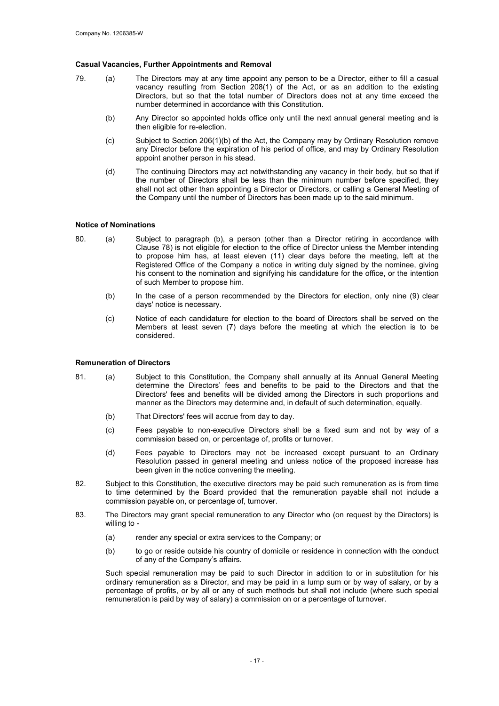#### Casual Vacancies, Further Appointments and Removal

- 79. (a) The Directors may at any time appoint any person to be a Director, either to fill a casual vacancy resulting from Section 208(1) of the Act, or as an addition to the existing Directors, but so that the total number of Directors does not at any time exceed the number determined in accordance with this Constitution.
	- (b) Any Director so appointed holds office only until the next annual general meeting and is then eligible for re-election.
	- (c) Subject to Section 206(1)(b) of the Act, the Company may by Ordinary Resolution remove any Director before the expiration of his period of office, and may by Ordinary Resolution appoint another person in his stead.
	- (d) The continuing Directors may act notwithstanding any vacancy in their body, but so that if the number of Directors shall be less than the minimum number before specified, they shall not act other than appointing a Director or Directors, or calling a General Meeting of the Company until the number of Directors has been made up to the said minimum.

#### Notice of Nominations

- 80. (a) Subject to paragraph (b), a person (other than a Director retiring in accordance with Clause 78) is not eligible for election to the office of Director unless the Member intending to propose him has, at least eleven (11) clear days before the meeting, left at the Registered Office of the Company a notice in writing duly signed by the nominee, giving his consent to the nomination and signifying his candidature for the office, or the intention of such Member to propose him.
	- (b) In the case of a person recommended by the Directors for election, only nine (9) clear days' notice is necessary.
	- (c) Notice of each candidature for election to the board of Directors shall be served on the Members at least seven (7) days before the meeting at which the election is to be considered.

#### Remuneration of Directors

- 81. (a) Subject to this Constitution, the Company shall annually at its Annual General Meeting determine the Directors' fees and benefits to be paid to the Directors and that the Directors' fees and benefits will be divided among the Directors in such proportions and manner as the Directors may determine and, in default of such determination, equally.
	- (b) That Directors' fees will accrue from day to day.
	- (c) Fees payable to non-executive Directors shall be a fixed sum and not by way of a commission based on, or percentage of, profits or turnover.
	- (d) Fees payable to Directors may not be increased except pursuant to an Ordinary Resolution passed in general meeting and unless notice of the proposed increase has been given in the notice convening the meeting.
- 82. Subject to this Constitution, the executive directors may be paid such remuneration as is from time to time determined by the Board provided that the remuneration payable shall not include a commission payable on, or percentage of, turnover.
- 83. The Directors may grant special remuneration to any Director who (on request by the Directors) is willing to -
	- (a) render any special or extra services to the Company; or
	- (b) to go or reside outside his country of domicile or residence in connection with the conduct of any of the Company's affairs.

Such special remuneration may be paid to such Director in addition to or in substitution for his ordinary remuneration as a Director, and may be paid in a lump sum or by way of salary, or by a percentage of profits, or by all or any of such methods but shall not include (where such special remuneration is paid by way of salary) a commission on or a percentage of turnover.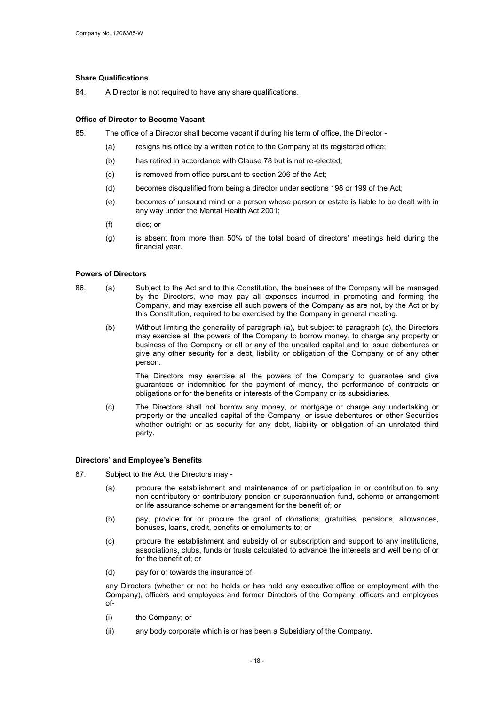#### Share Qualifications

84. A Director is not required to have any share qualifications.

#### Office of Director to Become Vacant

85. The office of a Director shall become vacant if during his term of office, the Director -

- (a) resigns his office by a written notice to the Company at its registered office;
- (b) has retired in accordance with Clause 78 but is not re-elected;
- (c) is removed from office pursuant to section 206 of the Act;
- (d) becomes disqualified from being a director under sections 198 or 199 of the Act;
- (e) becomes of unsound mind or a person whose person or estate is liable to be dealt with in any way under the Mental Health Act 2001;
- (f) dies; or
- (g) is absent from more than 50% of the total board of directors' meetings held during the financial year.

#### Powers of Directors

- 86. (a) Subject to the Act and to this Constitution, the business of the Company will be managed by the Directors, who may pay all expenses incurred in promoting and forming the Company, and may exercise all such powers of the Company as are not, by the Act or by this Constitution, required to be exercised by the Company in general meeting.
	- (b) Without limiting the generality of paragraph (a), but subject to paragraph (c), the Directors may exercise all the powers of the Company to borrow money, to charge any property or business of the Company or all or any of the uncalled capital and to issue debentures or give any other security for a debt, liability or obligation of the Company or of any other person.

The Directors may exercise all the powers of the Company to guarantee and give guarantees or indemnities for the payment of money, the performance of contracts or obligations or for the benefits or interests of the Company or its subsidiaries.

(c) The Directors shall not borrow any money, or mortgage or charge any undertaking or property or the uncalled capital of the Company, or issue debentures or other Securities whether outright or as security for any debt, liability or obligation of an unrelated third party.

#### Directors' and Employee's Benefits

- 87. Subject to the Act, the Directors may
	- (a) procure the establishment and maintenance of or participation in or contribution to any non-contributory or contributory pension or superannuation fund, scheme or arrangement or life assurance scheme or arrangement for the benefit of; or
	- (b) pay, provide for or procure the grant of donations, gratuities, pensions, allowances, bonuses, loans, credit, benefits or emoluments to; or
	- (c) procure the establishment and subsidy of or subscription and support to any institutions, associations, clubs, funds or trusts calculated to advance the interests and well being of or for the benefit of; or
	- (d) pay for or towards the insurance of,

any Directors (whether or not he holds or has held any executive office or employment with the Company), officers and employees and former Directors of the Company, officers and employees  $\sim$ f-

- (i) the Company; or
- (ii) any body corporate which is or has been a Subsidiary of the Company,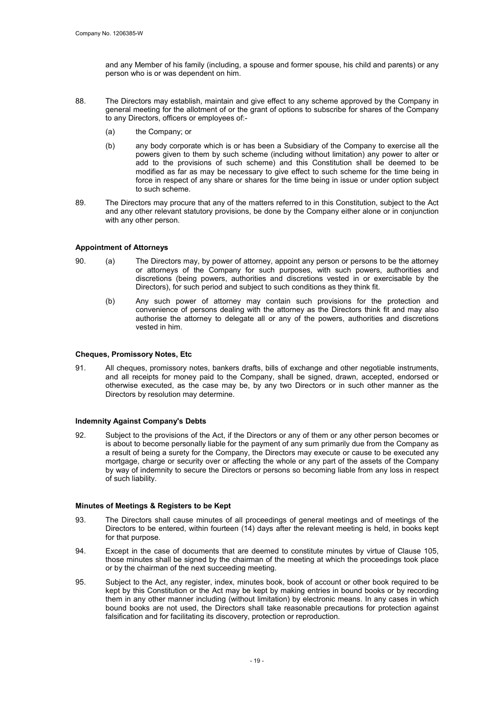and any Member of his family (including, a spouse and former spouse, his child and parents) or any person who is or was dependent on him.

- 88. The Directors may establish, maintain and give effect to any scheme approved by the Company in general meeting for the allotment of or the grant of options to subscribe for shares of the Company to any Directors, officers or employees of:-
	- (a) the Company; or
	- (b) any body corporate which is or has been a Subsidiary of the Company to exercise all the powers given to them by such scheme (including without limitation) any power to alter or add to the provisions of such scheme) and this Constitution shall be deemed to be modified as far as may be necessary to give effect to such scheme for the time being in force in respect of any share or shares for the time being in issue or under option subject to such scheme.
- 89. The Directors may procure that any of the matters referred to in this Constitution, subject to the Act and any other relevant statutory provisions, be done by the Company either alone or in conjunction with any other person.

#### Appointment of Attorneys

- 90. (a) The Directors may, by power of attorney, appoint any person or persons to be the attorney or attorneys of the Company for such purposes, with such powers, authorities and discretions (being powers, authorities and discretions vested in or exercisable by the Directors), for such period and subject to such conditions as they think fit.
	- (b) Any such power of attorney may contain such provisions for the protection and convenience of persons dealing with the attorney as the Directors think fit and may also authorise the attorney to delegate all or any of the powers, authorities and discretions vested in him.

#### Cheques, Promissory Notes, Etc

91. All cheques, promissory notes, bankers drafts, bills of exchange and other negotiable instruments, and all receipts for money paid to the Company, shall be signed, drawn, accepted, endorsed or otherwise executed, as the case may be, by any two Directors or in such other manner as the Directors by resolution may determine.

#### Indemnity Against Company's Debts

92. Subject to the provisions of the Act, if the Directors or any of them or any other person becomes or is about to become personally liable for the payment of any sum primarily due from the Company as a result of being a surety for the Company, the Directors may execute or cause to be executed any mortgage, charge or security over or affecting the whole or any part of the assets of the Company by way of indemnity to secure the Directors or persons so becoming liable from any loss in respect of such liability.

#### Minutes of Meetings & Registers to be Kept

- 93. The Directors shall cause minutes of all proceedings of general meetings and of meetings of the Directors to be entered, within fourteen (14) days after the relevant meeting is held, in books kept for that purpose.
- 94. Except in the case of documents that are deemed to constitute minutes by virtue of Clause 105, those minutes shall be signed by the chairman of the meeting at which the proceedings took place or by the chairman of the next succeeding meeting.
- 95. Subject to the Act, any register, index, minutes book, book of account or other book required to be kept by this Constitution or the Act may be kept by making entries in bound books or by recording them in any other manner including (without limitation) by electronic means. In any cases in which bound books are not used, the Directors shall take reasonable precautions for protection against falsification and for facilitating its discovery, protection or reproduction.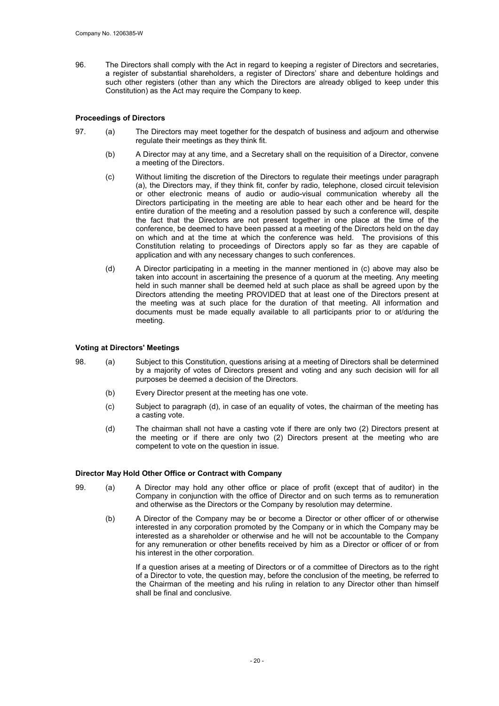96. The Directors shall comply with the Act in regard to keeping a register of Directors and secretaries, a register of substantial shareholders, a register of Directors' share and debenture holdings and such other registers (other than any which the Directors are already obliged to keep under this Constitution) as the Act may require the Company to keep.

#### Proceedings of Directors

- 97. (a) The Directors may meet together for the despatch of business and adjourn and otherwise regulate their meetings as they think fit.
	- (b) A Director may at any time, and a Secretary shall on the requisition of a Director, convene a meeting of the Directors.
	- (c) Without limiting the discretion of the Directors to regulate their meetings under paragraph (a), the Directors may, if they think fit, confer by radio, telephone, closed circuit television or other electronic means of audio or audio-visual communication whereby all the Directors participating in the meeting are able to hear each other and be heard for the entire duration of the meeting and a resolution passed by such a conference will, despite the fact that the Directors are not present together in one place at the time of the conference, be deemed to have been passed at a meeting of the Directors held on the day on which and at the time at which the conference was held. The provisions of this Constitution relating to proceedings of Directors apply so far as they are capable of application and with any necessary changes to such conferences.
	- (d) A Director participating in a meeting in the manner mentioned in (c) above may also be taken into account in ascertaining the presence of a quorum at the meeting. Any meeting held in such manner shall be deemed held at such place as shall be agreed upon by the Directors attending the meeting PROVIDED that at least one of the Directors present at the meeting was at such place for the duration of that meeting. All information and documents must be made equally available to all participants prior to or at/during the meeting.

#### Voting at Directors' Meetings

- 98. (a) Subject to this Constitution, questions arising at a meeting of Directors shall be determined by a majority of votes of Directors present and voting and any such decision will for all purposes be deemed a decision of the Directors.
	- (b) Every Director present at the meeting has one vote.
	- (c) Subject to paragraph (d), in case of an equality of votes, the chairman of the meeting has a casting vote.
	- (d) The chairman shall not have a casting vote if there are only two (2) Directors present at the meeting or if there are only two (2) Directors present at the meeting who are competent to vote on the question in issue.

#### Director May Hold Other Office or Contract with Company

- 99. (a) A Director may hold any other office or place of profit (except that of auditor) in the Company in conjunction with the office of Director and on such terms as to remuneration and otherwise as the Directors or the Company by resolution may determine.
	- (b) A Director of the Company may be or become a Director or other officer of or otherwise interested in any corporation promoted by the Company or in which the Company may be interested as a shareholder or otherwise and he will not be accountable to the Company for any remuneration or other benefits received by him as a Director or officer of or from his interest in the other corporation.

If a question arises at a meeting of Directors or of a committee of Directors as to the right of a Director to vote, the question may, before the conclusion of the meeting, be referred to the Chairman of the meeting and his ruling in relation to any Director other than himself shall be final and conclusive.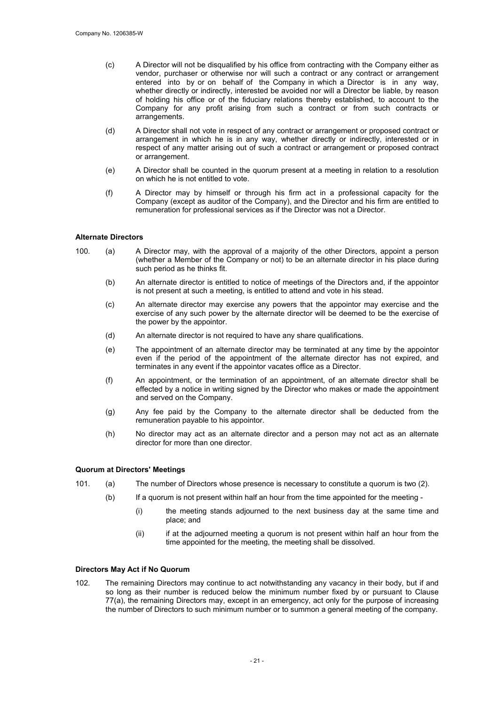- (c) A Director will not be disqualified by his office from contracting with the Company either as vendor, purchaser or otherwise nor will such a contract or any contract or arrangement entered into by or on behalf of the Company in which a Director is in any way, whether directly or indirectly, interested be avoided nor will a Director be liable, by reason of holding his office or of the fiduciary relations thereby established, to account to the Company for any profit arising from such a contract or from such contracts or arrangements.
- (d) A Director shall not vote in respect of any contract or arrangement or proposed contract or arrangement in which he is in any way, whether directly or indirectly, interested or in respect of any matter arising out of such a contract or arrangement or proposed contract or arrangement.
- (e) A Director shall be counted in the quorum present at a meeting in relation to a resolution on which he is not entitled to vote.
- (f) A Director may by himself or through his firm act in a professional capacity for the Company (except as auditor of the Company), and the Director and his firm are entitled to remuneration for professional services as if the Director was not a Director.

#### Alternate Directors

- 100. (a) A Director may, with the approval of a majority of the other Directors, appoint a person (whether a Member of the Company or not) to be an alternate director in his place during such period as he thinks fit.
	- (b) An alternate director is entitled to notice of meetings of the Directors and, if the appointor is not present at such a meeting, is entitled to attend and vote in his stead.
	- (c) An alternate director may exercise any powers that the appointor may exercise and the exercise of any such power by the alternate director will be deemed to be the exercise of the power by the appointor.
	- (d) An alternate director is not required to have any share qualifications.
	- (e) The appointment of an alternate director may be terminated at any time by the appointor even if the period of the appointment of the alternate director has not expired, and terminates in any event if the appointor vacates office as a Director.
	- (f) An appointment, or the termination of an appointment, of an alternate director shall be effected by a notice in writing signed by the Director who makes or made the appointment and served on the Company.
	- (g) Any fee paid by the Company to the alternate director shall be deducted from the remuneration payable to his appointor.
	- (h) No director may act as an alternate director and a person may not act as an alternate director for more than one director.

#### Quorum at Directors' Meetings

- 101. (a) The number of Directors whose presence is necessary to constitute a quorum is two (2).
	- (b) If a quorum is not present within half an hour from the time appointed for the meeting
		- (i) the meeting stands adjourned to the next business day at the same time and place; and
		- (ii) if at the adjourned meeting a quorum is not present within half an hour from the time appointed for the meeting, the meeting shall be dissolved.

#### Directors May Act if No Quorum

102. The remaining Directors may continue to act notwithstanding any vacancy in their body, but if and so long as their number is reduced below the minimum number fixed by or pursuant to Clause 77(a), the remaining Directors may, except in an emergency, act only for the purpose of increasing the number of Directors to such minimum number or to summon a general meeting of the company.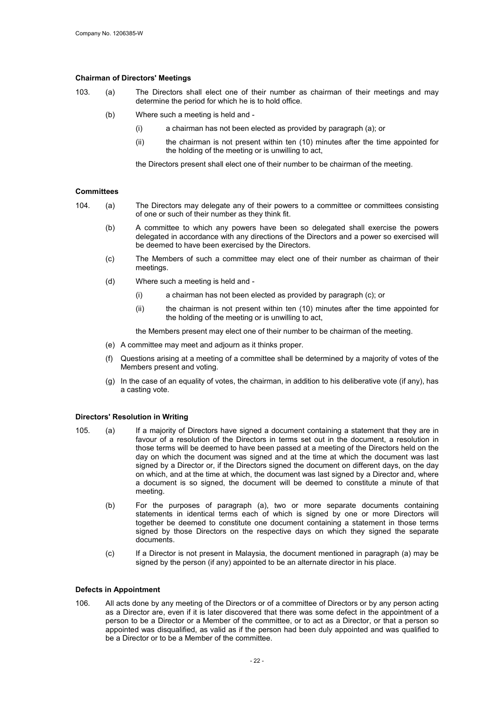#### Chairman of Directors' Meetings

- 103. (a) The Directors shall elect one of their number as chairman of their meetings and may determine the period for which he is to hold office.
	- (b) Where such a meeting is held and
		- (i) a chairman has not been elected as provided by paragraph (a); or
		- (ii) the chairman is not present within ten (10) minutes after the time appointed for the holding of the meeting or is unwilling to act,

the Directors present shall elect one of their number to be chairman of the meeting.

#### **Committees**

- 104. (a) The Directors may delegate any of their powers to a committee or committees consisting of one or such of their number as they think fit.
	- (b) A committee to which any powers have been so delegated shall exercise the powers delegated in accordance with any directions of the Directors and a power so exercised will be deemed to have been exercised by the Directors.
	- (c) The Members of such a committee may elect one of their number as chairman of their meetings.
	- (d) Where such a meeting is held and
		- (i) a chairman has not been elected as provided by paragraph (c); or
		- (ii) the chairman is not present within ten (10) minutes after the time appointed for the holding of the meeting or is unwilling to act,

the Members present may elect one of their number to be chairman of the meeting.

- (e) A committee may meet and adjourn as it thinks proper.
- (f) Questions arising at a meeting of a committee shall be determined by a majority of votes of the Members present and voting.
- (g) In the case of an equality of votes, the chairman, in addition to his deliberative vote (if any), has a casting vote.

#### Directors' Resolution in Writing

- 105. (a) If a majority of Directors have signed a document containing a statement that they are in favour of a resolution of the Directors in terms set out in the document, a resolution in those terms will be deemed to have been passed at a meeting of the Directors held on the day on which the document was signed and at the time at which the document was last signed by a Director or, if the Directors signed the document on different days, on the day on which, and at the time at which, the document was last signed by a Director and, where a document is so signed, the document will be deemed to constitute a minute of that meeting.
	- (b) For the purposes of paragraph (a), two or more separate documents containing statements in identical terms each of which is signed by one or more Directors will together be deemed to constitute one document containing a statement in those terms signed by those Directors on the respective days on which they signed the separate documents.
	- (c) If a Director is not present in Malaysia, the document mentioned in paragraph (a) may be signed by the person (if any) appointed to be an alternate director in his place.

#### Defects in Appointment

106. All acts done by any meeting of the Directors or of a committee of Directors or by any person acting as a Director are, even if it is later discovered that there was some defect in the appointment of a person to be a Director or a Member of the committee, or to act as a Director, or that a person so appointed was disqualified, as valid as if the person had been duly appointed and was qualified to be a Director or to be a Member of the committee.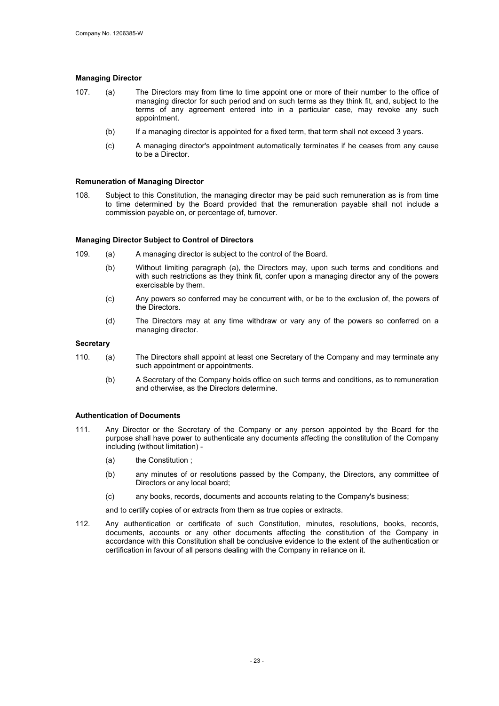#### Managing Director

- 107. (a) The Directors may from time to time appoint one or more of their number to the office of managing director for such period and on such terms as they think fit, and, subject to the terms of any agreement entered into in a particular case, may revoke any such appointment.
	- (b) If a managing director is appointed for a fixed term, that term shall not exceed 3 years.
	- (c) A managing director's appointment automatically terminates if he ceases from any cause to be a Director.

#### Remuneration of Managing Director

108. Subject to this Constitution, the managing director may be paid such remuneration as is from time to time determined by the Board provided that the remuneration payable shall not include a commission payable on, or percentage of, turnover.

#### Managing Director Subject to Control of Directors

- 109. (a) A managing director is subject to the control of the Board.
	- (b) Without limiting paragraph (a), the Directors may, upon such terms and conditions and with such restrictions as they think fit, confer upon a managing director any of the powers exercisable by them.
	- (c) Any powers so conferred may be concurrent with, or be to the exclusion of, the powers of the Directors.
	- (d) The Directors may at any time withdraw or vary any of the powers so conferred on a managing director.

#### **Secretary**

- 110. (a) The Directors shall appoint at least one Secretary of the Company and may terminate any such appointment or appointments.
	- (b) A Secretary of the Company holds office on such terms and conditions, as to remuneration and otherwise, as the Directors determine.

#### Authentication of Documents

- 111. Any Director or the Secretary of the Company or any person appointed by the Board for the purpose shall have power to authenticate any documents affecting the constitution of the Company including (without limitation) -
	- (a) the Constitution ;
	- (b) any minutes of or resolutions passed by the Company, the Directors, any committee of Directors or any local board;
	- (c) any books, records, documents and accounts relating to the Company's business;

and to certify copies of or extracts from them as true copies or extracts.

112. Any authentication or certificate of such Constitution, minutes, resolutions, books, records, documents, accounts or any other documents affecting the constitution of the Company in accordance with this Constitution shall be conclusive evidence to the extent of the authentication or certification in favour of all persons dealing with the Company in reliance on it.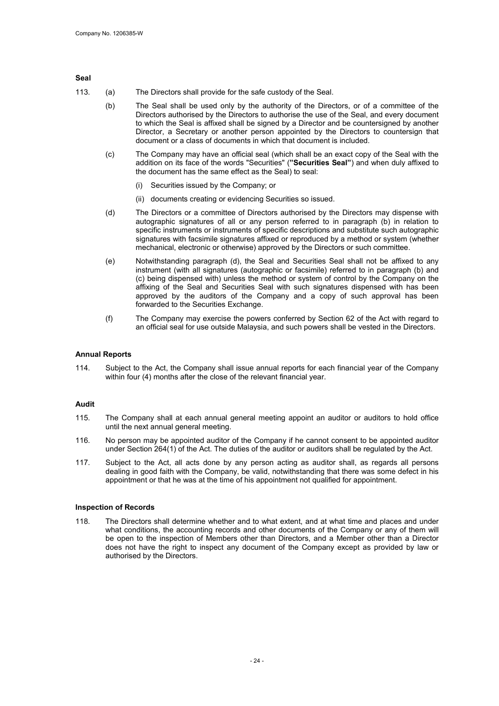#### Seal

- 113. (a) The Directors shall provide for the safe custody of the Seal.
	- (b) The Seal shall be used only by the authority of the Directors, or of a committee of the Directors authorised by the Directors to authorise the use of the Seal, and every document to which the Seal is affixed shall be signed by a Director and be countersigned by another Director, a Secretary or another person appointed by the Directors to countersign that document or a class of documents in which that document is included.
	- (c) The Company may have an official seal (which shall be an exact copy of the Seal with the addition on its face of the words "Securities" ("Securities Seal") and when duly affixed to the document has the same effect as the Seal) to seal:
		- (i) Securities issued by the Company; or
		- (ii) documents creating or evidencing Securities so issued.
	- (d) The Directors or a committee of Directors authorised by the Directors may dispense with autographic signatures of all or any person referred to in paragraph (b) in relation to specific instruments or instruments of specific descriptions and substitute such autographic signatures with facsimile signatures affixed or reproduced by a method or system (whether mechanical, electronic or otherwise) approved by the Directors or such committee.
	- (e) Notwithstanding paragraph (d), the Seal and Securities Seal shall not be affixed to any instrument (with all signatures (autographic or facsimile) referred to in paragraph (b) and (c) being dispensed with) unless the method or system of control by the Company on the affixing of the Seal and Securities Seal with such signatures dispensed with has been approved by the auditors of the Company and a copy of such approval has been forwarded to the Securities Exchange.
	- (f) The Company may exercise the powers conferred by Section 62 of the Act with regard to an official seal for use outside Malaysia, and such powers shall be vested in the Directors.

#### Annual Reports

114. Subject to the Act, the Company shall issue annual reports for each financial year of the Company within four (4) months after the close of the relevant financial year.

#### Audit

- 115. The Company shall at each annual general meeting appoint an auditor or auditors to hold office until the next annual general meeting.
- 116. No person may be appointed auditor of the Company if he cannot consent to be appointed auditor under Section 264(1) of the Act. The duties of the auditor or auditors shall be regulated by the Act.
- 117. Subject to the Act, all acts done by any person acting as auditor shall, as regards all persons dealing in good faith with the Company, be valid, notwithstanding that there was some defect in his appointment or that he was at the time of his appointment not qualified for appointment.

#### Inspection of Records

118. The Directors shall determine whether and to what extent, and at what time and places and under what conditions, the accounting records and other documents of the Company or any of them will be open to the inspection of Members other than Directors, and a Member other than a Director does not have the right to inspect any document of the Company except as provided by law or authorised by the Directors.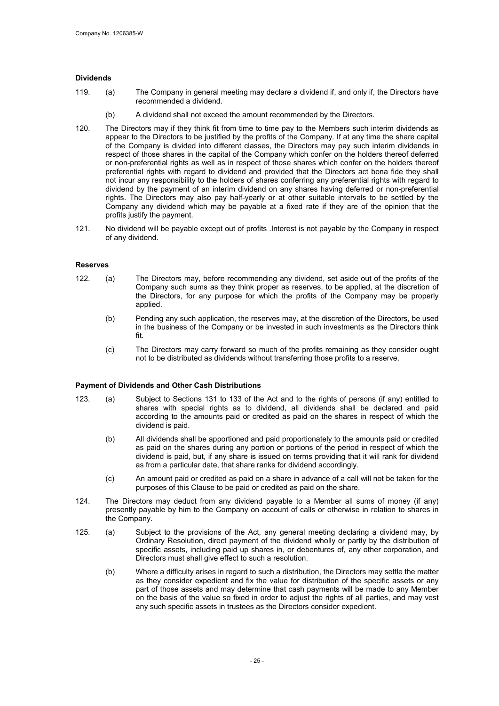#### Dividends

- 119. (a) The Company in general meeting may declare a dividend if, and only if, the Directors have recommended a dividend.
	- (b) A dividend shall not exceed the amount recommended by the Directors.
- 120. The Directors may if they think fit from time to time pay to the Members such interim dividends as appear to the Directors to be justified by the profits of the Company. If at any time the share capital of the Company is divided into different classes, the Directors may pay such interim dividends in respect of those shares in the capital of the Company which confer on the holders thereof deferred or non-preferential rights as well as in respect of those shares which confer on the holders thereof preferential rights with regard to dividend and provided that the Directors act bona fide they shall not incur any responsibility to the holders of shares conferring any preferential rights with regard to dividend by the payment of an interim dividend on any shares having deferred or non-preferential rights. The Directors may also pay half-yearly or at other suitable intervals to be settled by the Company any dividend which may be payable at a fixed rate if they are of the opinion that the profits justify the payment.
- 121. No dividend will be payable except out of profits .Interest is not payable by the Company in respect of any dividend.

#### Reserves

- 122. (a) The Directors may, before recommending any dividend, set aside out of the profits of the Company such sums as they think proper as reserves, to be applied, at the discretion of the Directors, for any purpose for which the profits of the Company may be properly applied.
	- (b) Pending any such application, the reserves may, at the discretion of the Directors, be used in the business of the Company or be invested in such investments as the Directors think fit.
	- (c) The Directors may carry forward so much of the profits remaining as they consider ought not to be distributed as dividends without transferring those profits to a reserve.

#### Payment of Dividends and Other Cash Distributions

- 123. (a) Subject to Sections 131 to 133 of the Act and to the rights of persons (if any) entitled to shares with special rights as to dividend, all dividends shall be declared and paid according to the amounts paid or credited as paid on the shares in respect of which the dividend is paid.
	- (b) All dividends shall be apportioned and paid proportionately to the amounts paid or credited as paid on the shares during any portion or portions of the period in respect of which the dividend is paid, but, if any share is issued on terms providing that it will rank for dividend as from a particular date, that share ranks for dividend accordingly.
	- (c) An amount paid or credited as paid on a share in advance of a call will not be taken for the purposes of this Clause to be paid or credited as paid on the share.
- 124. The Directors may deduct from any dividend payable to a Member all sums of money (if any) presently payable by him to the Company on account of calls or otherwise in relation to shares in the Company.
- 125. (a) Subject to the provisions of the Act, any general meeting declaring a dividend may, by Ordinary Resolution, direct payment of the dividend wholly or partly by the distribution of specific assets, including paid up shares in, or debentures of, any other corporation, and Directors must shall give effect to such a resolution.
	- (b) Where a difficulty arises in regard to such a distribution, the Directors may settle the matter as they consider expedient and fix the value for distribution of the specific assets or any part of those assets and may determine that cash payments will be made to any Member on the basis of the value so fixed in order to adjust the rights of all parties, and may vest any such specific assets in trustees as the Directors consider expedient.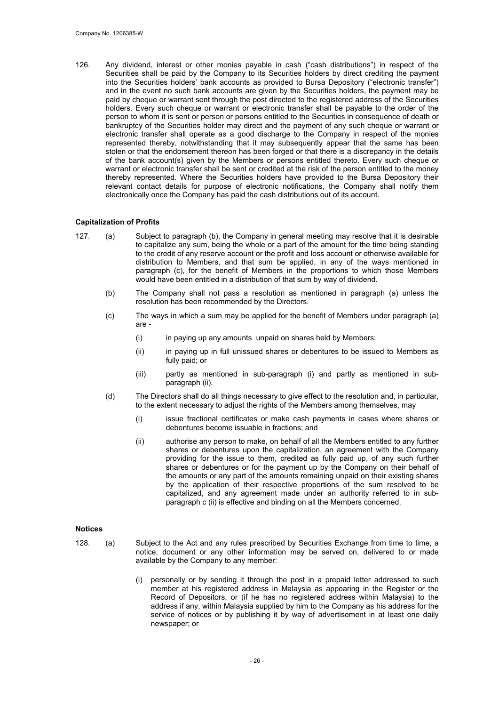126. Any dividend, interest or other monies payable in cash ("cash distributions") in respect of the Securities shall be paid by the Company to its Securities holders by direct crediting the payment into the Securities holders' bank accounts as provided to Bursa Depository ("electronic transfer") and in the event no such bank accounts are given by the Securities holders, the payment may be paid by cheque or warrant sent through the post directed to the registered address of the Securities holders. Every such cheque or warrant or electronic transfer shall be payable to the order of the person to whom it is sent or person or persons entitled to the Securities in consequence of death or bankruptcy of the Securities holder may direct and the payment of any such cheque or warrant or electronic transfer shall operate as a good discharge to the Company in respect of the monies represented thereby, notwithstanding that it may subsequently appear that the same has been stolen or that the endorsement thereon has been forged or that there is a discrepancy in the details of the bank account(s) given by the Members or persons entitled thereto. Every such cheque or warrant or electronic transfer shall be sent or credited at the risk of the person entitled to the money thereby represented. Where the Securities holders have provided to the Bursa Depository their relevant contact details for purpose of electronic notifications, the Company shall notify them electronically once the Company has paid the cash distributions out of its account.

#### Capitalization of Profits

- 127. (a) Subject to paragraph (b), the Company in general meeting may resolve that it is desirable to capitalize any sum, being the whole or a part of the amount for the time being standing to the credit of any reserve account or the profit and loss account or otherwise available for distribution to Members, and that sum be applied, in any of the ways mentioned in paragraph (c), for the benefit of Members in the proportions to which those Members would have been entitled in a distribution of that sum by way of dividend.
	- (b) The Company shall not pass a resolution as mentioned in paragraph (a) unless the resolution has been recommended by the Directors.
	- (c) The ways in which a sum may be applied for the benefit of Members under paragraph (a) are -
		- (i) in paying up any amounts unpaid on shares held by Members;
		- (ii) in paying up in full unissued shares or debentures to be issued to Members as fully paid; or
		- (iii) partly as mentioned in sub-paragraph (i) and partly as mentioned in subparagraph (ii).
	- (d) The Directors shall do all things necessary to give effect to the resolution and, in particular, to the extent necessary to adjust the rights of the Members among themselves, may
		- (i) issue fractional certificates or make cash payments in cases where shares or debentures become issuable in fractions; and
		- (ii) authorise any person to make, on behalf of all the Members entitled to any further shares or debentures upon the capitalization, an agreement with the Company providing for the issue to them, credited as fully paid up, of any such further shares or debentures or for the payment up by the Company on their behalf of the amounts or any part of the amounts remaining unpaid on their existing shares by the application of their respective proportions of the sum resolved to be capitalized, and any agreement made under an authority referred to in subparagraph c (ii) is effective and binding on all the Members concerned.

#### Notices

- 128. (a) Subject to the Act and any rules prescribed by Securities Exchange from time to time, a notice, document or any other information may be served on, delivered to or made available by the Company to any member:
	- (i) personally or by sending it through the post in a prepaid letter addressed to such member at his registered address in Malaysia as appearing in the Register or the Record of Depositors, or (if he has no registered address within Malaysia) to the address if any, within Malaysia supplied by him to the Company as his address for the service of notices or by publishing it by way of advertisement in at least one daily newspaper; or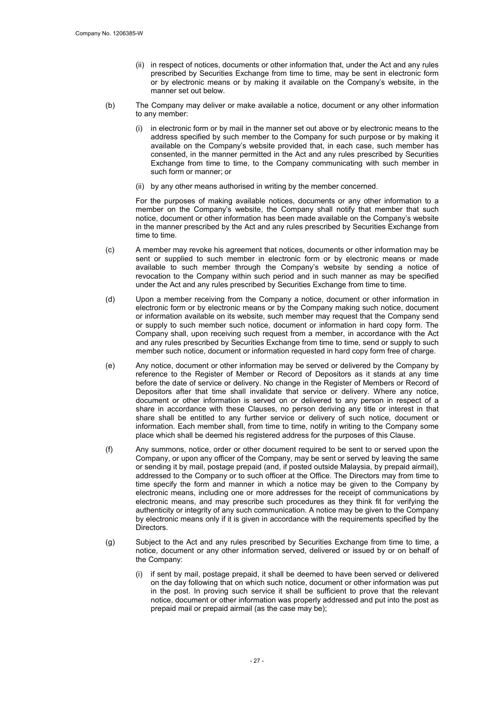- (ii) in respect of notices, documents or other information that, under the Act and any rules prescribed by Securities Exchange from time to time, may be sent in electronic form or by electronic means or by making it available on the Company's website, in the manner set out below.
- (b) The Company may deliver or make available a notice, document or any other information to any member:
	- (i) in electronic form or by mail in the manner set out above or by electronic means to the address specified by such member to the Company for such purpose or by making it available on the Company's website provided that, in each case, such member has consented, in the manner permitted in the Act and any rules prescribed by Securities Exchange from time to time, to the Company communicating with such member in such form or manner; or
	- (ii) by any other means authorised in writing by the member concerned.

For the purposes of making available notices, documents or any other information to a member on the Company's website, the Company shall notify that member that such notice, document or other information has been made available on the Company's website in the manner prescribed by the Act and any rules prescribed by Securities Exchange from time to time.

- (c) A member may revoke his agreement that notices, documents or other information may be sent or supplied to such member in electronic form or by electronic means or made available to such member through the Company's website by sending a notice of revocation to the Company within such period and in such manner as may be specified under the Act and any rules prescribed by Securities Exchange from time to time.
- (d) Upon a member receiving from the Company a notice, document or other information in electronic form or by electronic means or by the Company making such notice, document or information available on its website, such member may request that the Company send or supply to such member such notice, document or information in hard copy form. The Company shall, upon receiving such request from a member, in accordance with the Act and any rules prescribed by Securities Exchange from time to time, send or supply to such member such notice, document or information requested in hard copy form free of charge.
- (e) Any notice, document or other information may be served or delivered by the Company by reference to the Register of Member or Record of Depositors as it stands at any time before the date of service or delivery. No change in the Register of Members or Record of Depositors after that time shall invalidate that service or delivery. Where any notice, document or other information is served on or delivered to any person in respect of a share in accordance with these Clauses, no person deriving any title or interest in that share shall be entitled to any further service or delivery of such notice, document or information. Each member shall, from time to time, notify in writing to the Company some place which shall be deemed his registered address for the purposes of this Clause.
- (f) Any summons, notice, order or other document required to be sent to or served upon the Company, or upon any officer of the Company, may be sent or served by leaving the same or sending it by mail, postage prepaid (and, if posted outside Malaysia, by prepaid airmail), addressed to the Company or to such officer at the Office. The Directors may from time to time specify the form and manner in which a notice may be given to the Company by electronic means, including one or more addresses for the receipt of communications by electronic means, and may prescribe such procedures as they think fit for verifying the authenticity or integrity of any such communication. A notice may be given to the Company by electronic means only if it is given in accordance with the requirements specified by the Directors.
- (g) Subject to the Act and any rules prescribed by Securities Exchange from time to time, a notice, document or any other information served, delivered or issued by or on behalf of the Company:
	- (i) if sent by mail, postage prepaid, it shall be deemed to have been served or delivered on the day following that on which such notice, document or other information was put in the post. In proving such service it shall be sufficient to prove that the relevant notice, document or other information was properly addressed and put into the post as prepaid mail or prepaid airmail (as the case may be);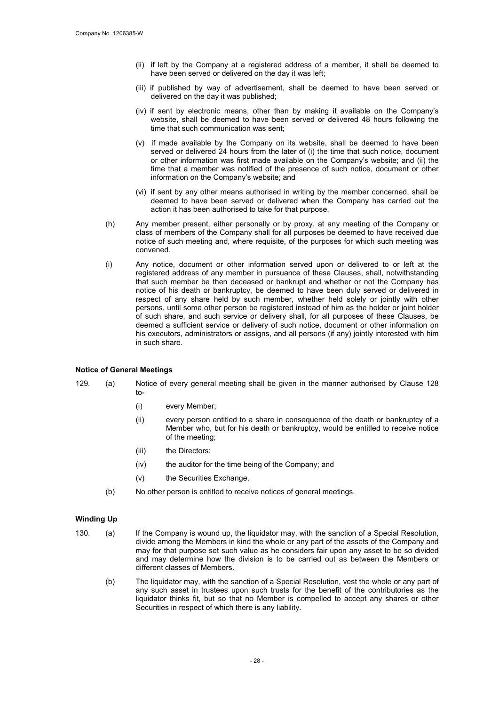- (ii) if left by the Company at a registered address of a member, it shall be deemed to have been served or delivered on the day it was left;
- (iii) if published by way of advertisement, shall be deemed to have been served or delivered on the day it was published;
- (iv) if sent by electronic means, other than by making it available on the Company's website, shall be deemed to have been served or delivered 48 hours following the time that such communication was sent;
- (v) if made available by the Company on its website, shall be deemed to have been served or delivered 24 hours from the later of (i) the time that such notice, document or other information was first made available on the Company's website; and (ii) the time that a member was notified of the presence of such notice, document or other information on the Company's website; and
- (vi) if sent by any other means authorised in writing by the member concerned, shall be deemed to have been served or delivered when the Company has carried out the action it has been authorised to take for that purpose.
- (h) Any member present, either personally or by proxy, at any meeting of the Company or class of members of the Company shall for all purposes be deemed to have received due notice of such meeting and, where requisite, of the purposes for which such meeting was convened.
- (i) Any notice, document or other information served upon or delivered to or left at the registered address of any member in pursuance of these Clauses, shall, notwithstanding that such member be then deceased or bankrupt and whether or not the Company has notice of his death or bankruptcy, be deemed to have been duly served or delivered in respect of any share held by such member, whether held solely or jointly with other persons, until some other person be registered instead of him as the holder or joint holder of such share, and such service or delivery shall, for all purposes of these Clauses, be deemed a sufficient service or delivery of such notice, document or other information on his executors, administrators or assigns, and all persons (if any) jointly interested with him in such share.

#### Notice of General Meetings

- 129. (a) Notice of every general meeting shall be given in the manner authorised by Clause 128  $t_0$ 
	- (i) every Member;
	- (ii) every person entitled to a share in consequence of the death or bankruptcy of a Member who, but for his death or bankruptcy, would be entitled to receive notice of the meeting;
	- (iii) the Directors;
	- (iv) the auditor for the time being of the Company; and
	- (v) the Securities Exchange.
	- (b) No other person is entitled to receive notices of general meetings.

#### Winding Up

- 130. (a) If the Company is wound up, the liquidator may, with the sanction of a Special Resolution, divide among the Members in kind the whole or any part of the assets of the Company and may for that purpose set such value as he considers fair upon any asset to be so divided and may determine how the division is to be carried out as between the Members or different classes of Members.
	- (b) The liquidator may, with the sanction of a Special Resolution, vest the whole or any part of any such asset in trustees upon such trusts for the benefit of the contributories as the liquidator thinks fit, but so that no Member is compelled to accept any shares or other Securities in respect of which there is any liability.